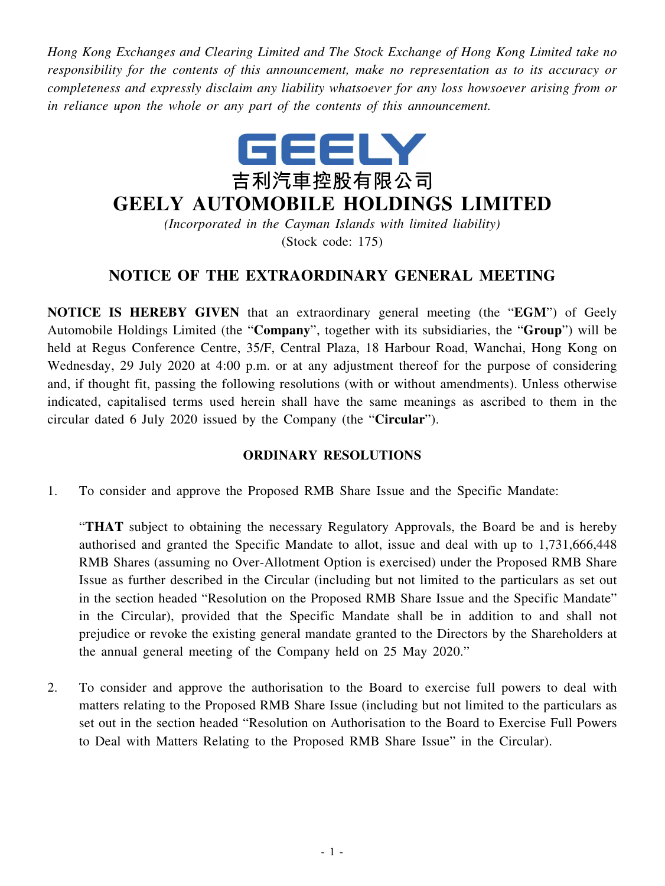*Hong Kong Exchanges and Clearing Limited and The Stock Exchange of Hong Kong Limited take no responsibility for the contents of this announcement, make no representation as to its accuracy or completeness and expressly disclaim any liability whatsoever for any loss howsoever arising from or in reliance upon the whole or any part of the contents of this announcement.*



## **GEELY AUTOMOBILE HOLDINGS LIMITED**

*(Incorporated in the Cayman Islands with limited liability)* (Stock code: 175)

## **NOTICE OF THE EXTRAORDINARY GENERAL MEETING**

**NOTICE IS HEREBY GIVEN** that an extraordinary general meeting (the "**EGM**") of Geely Automobile Holdings Limited (the "**Company**", together with its subsidiaries, the "**Group**") will be held at Regus Conference Centre, 35/F, Central Plaza, 18 Harbour Road, Wanchai, Hong Kong on Wednesday, 29 July 2020 at 4:00 p.m. or at any adjustment thereof for the purpose of considering and, if thought fit, passing the following resolutions (with or without amendments). Unless otherwise indicated, capitalised terms used herein shall have the same meanings as ascribed to them in the circular dated 6 July 2020 issued by the Company (the "**Circular**").

## **ORDINARY RESOLUTIONS**

1. To consider and approve the Proposed RMB Share Issue and the Specific Mandate:

"**THAT** subject to obtaining the necessary Regulatory Approvals, the Board be and is hereby authorised and granted the Specific Mandate to allot, issue and deal with up to 1,731,666,448 RMB Shares (assuming no Over-Allotment Option is exercised) under the Proposed RMB Share Issue as further described in the Circular (including but not limited to the particulars as set out in the section headed "Resolution on the Proposed RMB Share Issue and the Specific Mandate" in the Circular), provided that the Specific Mandate shall be in addition to and shall not prejudice or revoke the existing general mandate granted to the Directors by the Shareholders at the annual general meeting of the Company held on 25 May 2020."

2. To consider and approve the authorisation to the Board to exercise full powers to deal with matters relating to the Proposed RMB Share Issue (including but not limited to the particulars as set out in the section headed "Resolution on Authorisation to the Board to Exercise Full Powers to Deal with Matters Relating to the Proposed RMB Share Issue" in the Circular).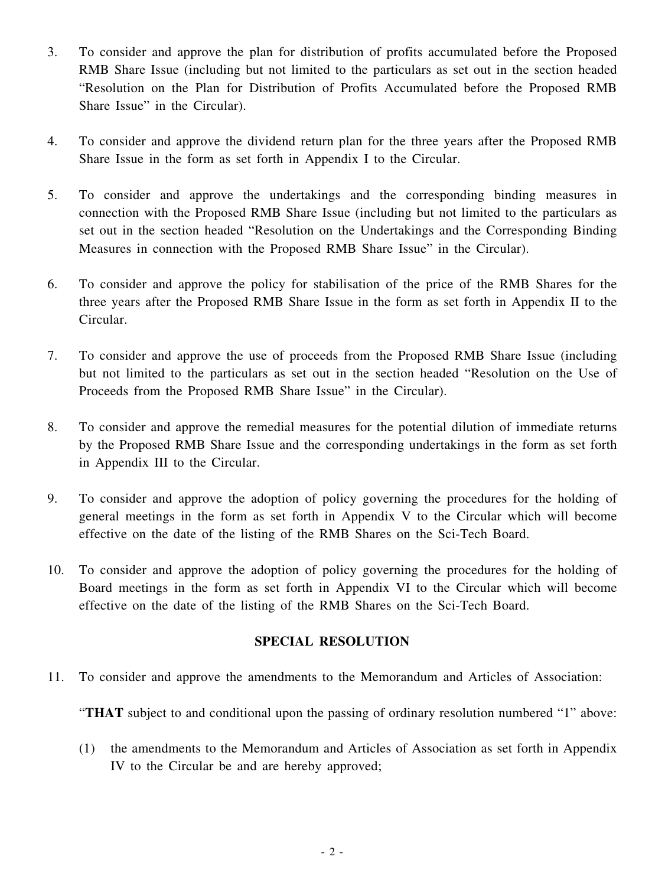- 3. To consider and approve the plan for distribution of profits accumulated before the Proposed RMB Share Issue (including but not limited to the particulars as set out in the section headed "Resolution on the Plan for Distribution of Profits Accumulated before the Proposed RMB Share Issue" in the Circular).
- 4. To consider and approve the dividend return plan for the three years after the Proposed RMB Share Issue in the form as set forth in Appendix I to the Circular.
- 5. To consider and approve the undertakings and the corresponding binding measures in connection with the Proposed RMB Share Issue (including but not limited to the particulars as set out in the section headed "Resolution on the Undertakings and the Corresponding Binding Measures in connection with the Proposed RMB Share Issue" in the Circular).
- 6. To consider and approve the policy for stabilisation of the price of the RMB Shares for the three years after the Proposed RMB Share Issue in the form as set forth in Appendix II to the Circular.
- 7. To consider and approve the use of proceeds from the Proposed RMB Share Issue (including but not limited to the particulars as set out in the section headed "Resolution on the Use of Proceeds from the Proposed RMB Share Issue" in the Circular).
- 8. To consider and approve the remedial measures for the potential dilution of immediate returns by the Proposed RMB Share Issue and the corresponding undertakings in the form as set forth in Appendix III to the Circular.
- 9. To consider and approve the adoption of policy governing the procedures for the holding of general meetings in the form as set forth in Appendix V to the Circular which will become effective on the date of the listing of the RMB Shares on the Sci-Tech Board.
- 10. To consider and approve the adoption of policy governing the procedures for the holding of Board meetings in the form as set forth in Appendix VI to the Circular which will become effective on the date of the listing of the RMB Shares on the Sci-Tech Board.

## **SPECIAL RESOLUTION**

11. To consider and approve the amendments to the Memorandum and Articles of Association:

"**THAT** subject to and conditional upon the passing of ordinary resolution numbered "1" above:

(1) the amendments to the Memorandum and Articles of Association as set forth in Appendix IV to the Circular be and are hereby approved;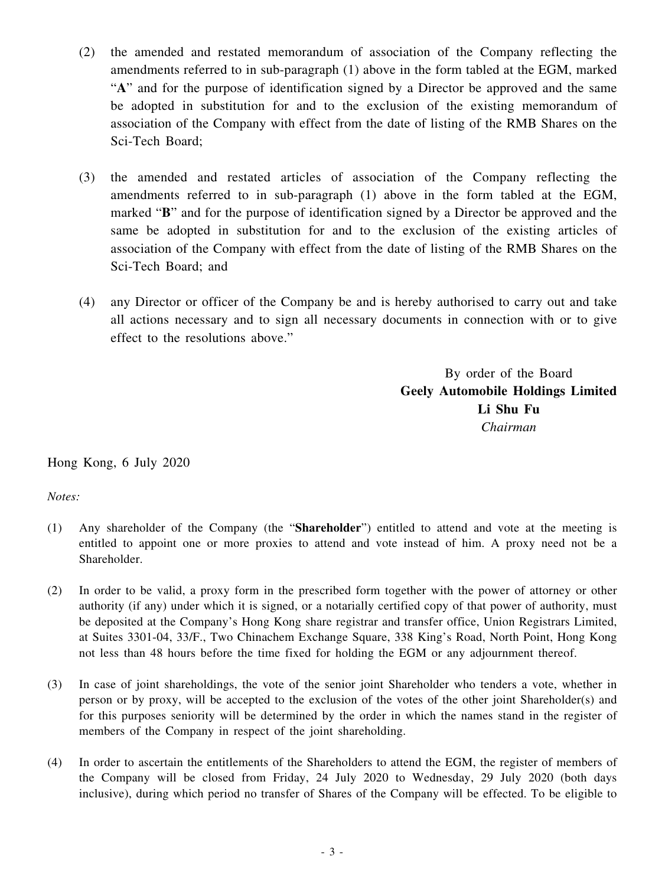- (2) the amended and restated memorandum of association of the Company reflecting the amendments referred to in sub-paragraph (1) above in the form tabled at the EGM, marked "**A**" and for the purpose of identification signed by a Director be approved and the same be adopted in substitution for and to the exclusion of the existing memorandum of association of the Company with effect from the date of listing of the RMB Shares on the Sci-Tech Board;
- (3) the amended and restated articles of association of the Company reflecting the amendments referred to in sub-paragraph (1) above in the form tabled at the EGM, marked "**B**" and for the purpose of identification signed by a Director be approved and the same be adopted in substitution for and to the exclusion of the existing articles of association of the Company with effect from the date of listing of the RMB Shares on the Sci-Tech Board; and
- (4) any Director or officer of the Company be and is hereby authorised to carry out and take all actions necessary and to sign all necessary documents in connection with or to give effect to the resolutions above."

By order of the Board **Geely Automobile Holdings Limited Li Shu Fu** *Chairman*

Hong Kong, 6 July 2020

*Notes:*

- (1) Any shareholder of the Company (the "**Shareholder**") entitled to attend and vote at the meeting is entitled to appoint one or more proxies to attend and vote instead of him. A proxy need not be a Shareholder.
- (2) In order to be valid, a proxy form in the prescribed form together with the power of attorney or other authority (if any) under which it is signed, or a notarially certified copy of that power of authority, must be deposited at the Company's Hong Kong share registrar and transfer office, Union Registrars Limited, at Suites 3301-04, 33/F., Two Chinachem Exchange Square, 338 King's Road, North Point, Hong Kong not less than 48 hours before the time fixed for holding the EGM or any adjournment thereof.
- (3) In case of joint shareholdings, the vote of the senior joint Shareholder who tenders a vote, whether in person or by proxy, will be accepted to the exclusion of the votes of the other joint Shareholder(s) and for this purposes seniority will be determined by the order in which the names stand in the register of members of the Company in respect of the joint shareholding.
- (4) In order to ascertain the entitlements of the Shareholders to attend the EGM, the register of members of the Company will be closed from Friday, 24 July 2020 to Wednesday, 29 July 2020 (both days inclusive), during which period no transfer of Shares of the Company will be effected. To be eligible to